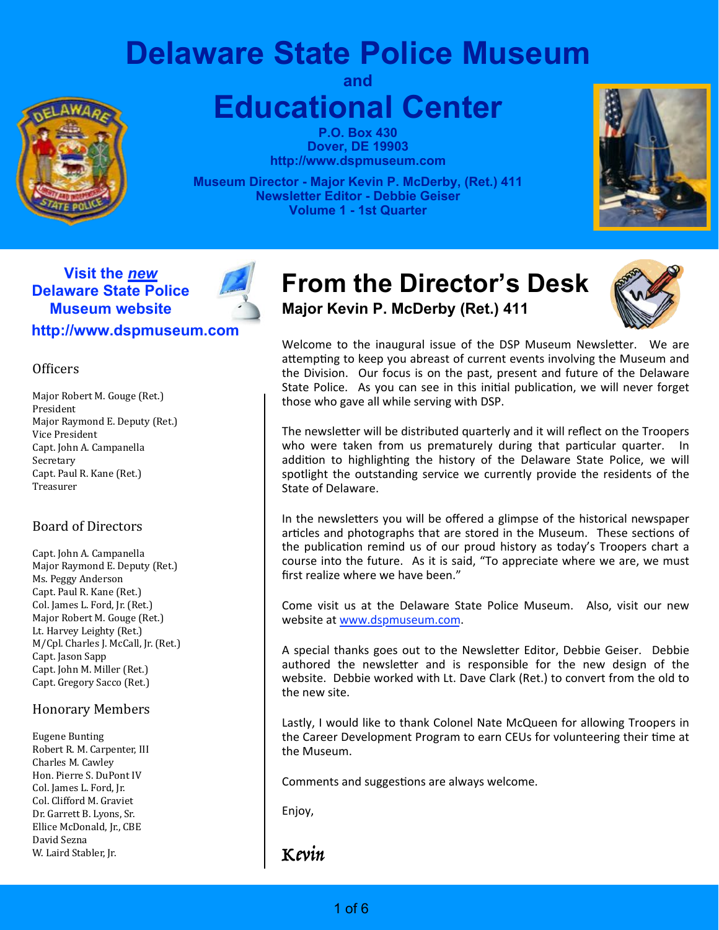# **Delaware State Police Museum**



**and Educational Center**

> **P.O. Box 430 Dover, DE 19903 http://www.dspmuseum.com**

**Museum Director - Major Kevin P. McDerby, (Ret.) 411 Newsletter Editor - Debbie Geiser Volume 1 - 1st Quarter**

### **Visit the** *new* **Delaware State Police Museum website http://www.dspmuseum.com**



### **Officers**

Major Robert M. Gouge (Ret.) President Major-Raymond E. Deputy (Ret.) Vice President Capt. John A. Campanella Secretary Capt. Paul R. Kane (Ret.) Treasurer

### Board-of-Directors

Capt. John A. Campanella Major Raymond E. Deputy (Ret.) Ms. Peggy Anderson Capt. Paul R. Kane (Ret.) Col. James L. Ford, Jr. (Ret.) Major Robert M. Gouge (Ret.) Lt. Harvey Leighty (Ret.) M/Cpl. Charles J. McCall, Jr. (Ret.) Capt. Jason Sapp Capt. John M. Miller (Ret.) Capt. Gregory Sacco (Ret.)

### Honorary-Members

Eugene-Bunting Robert R. M. Carpenter, III Charles M. Cawley Hon. Pierre S. DuPont IV Col. James L. Ford, Jr. Col. Clifford M. Graviet Dr. Garrett B. Lyons, Sr. Ellice McDonald, Jr., CBE David Sezna W. Laird Stabler, Jr.

## **From the Director's Desk Major Kevin P. McDerby (Ret.) 411**



Welcome to the inaugural issue of the DSP Museum Newsletter. We are attempting to keep you abreast of current events involving the Museum and the Division. Our focus is on the past, present and future of the Delaware State Police. As you can see in this initial publication, we will never forget those who gave all while serving with DSP.

The newsletter will be distributed quarterly and it will reflect on the Troopers who were taken from us prematurely during that particular quarter. In addition to highlighting the history of the Delaware State Police, we will spotlight the outstanding service we currently provide the residents of the State of Delaware.

In the newsletters you will be offered a glimpse of the historical newspaper articles and photographs that are stored in the Museum. These sections of the publication remind us of our proud history as today's Troopers chart a course into the future. As it is said, "To appreciate where we are, we must first realize where we have been."

Come visit us at the Delaware State Police Museum. Also, visit our new website at www.dspmuseum.com.

A special thanks goes out to the Newsletter Editor, Debbie Geiser. Debbie authored the newsletter and is responsible for the new design of the website.' Debbie worked with Lt. Dave Clark (Ret.) to convert from the old to the new site.

Lastly, I would like to thank Colonel Nate McQueen for allowing Troopers in the Career Development Program to earn CEUs for volunteering their time at the Museum.

Comments and suggestions are always welcome.

Enjoy,

Kevin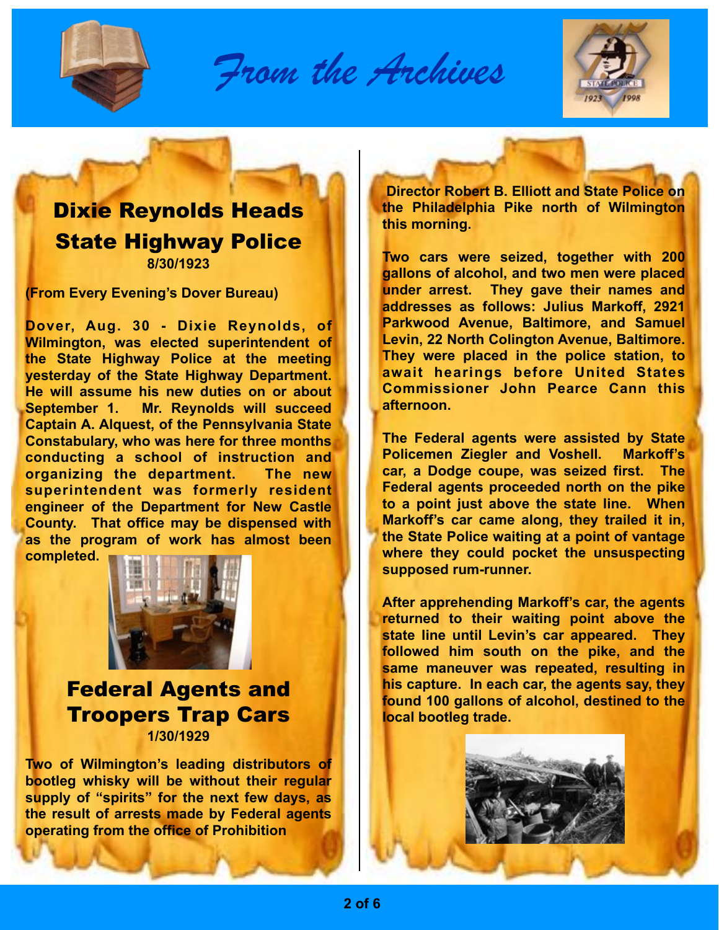

From the Archives



## Dixie Reynolds Heads State Highway Police **8/30/1923**

**(From Every Evening's Dover Bureau)**

**Dover, Aug. 30 - Dixie Reynolds, of Wilmington, was elected superintendent of the State Highway Police at the meeting yesterday of the State Highway Department. He will assume his new duties on or about September 1. Mr. Reynolds will succeed Captain A. Alquest, of the Pennsylvania State Constabulary, who was here for three months conducting a school of instruction and organizing the department. The new superintendent was formerly resident engineer of the Department for New Castle County. That office may be dispensed with as the program of work has almost been completed.** 



Federal Agents and Troopers Trap Cars **1/30/1929**

**Two of Wilmington's leading distributors of bootleg whisky will be without their regular supply of "spirits" for the next few days, as the result of arrests made by Federal agents operating from the office of Prohibition**

 **Director Robert B. Elliott and State Police on the Philadelphia Pike north of Wilmington this morning.**

**Two cars were seized, together with 200 gallons of alcohol, and two men were placed under arrest. They gave their names and addresses as follows: Julius Markoff, 2921 Parkwood Avenue, Baltimore, and Samuel Levin, 22 North Colington Avenue, Baltimore. They were placed in the police station, to await hearings before United States Commissioner John Pearce Cann this afternoon.** 

**The Federal agents were assisted by State Policemen Ziegler and Voshell. Markoff's car, a Dodge coupe, was seized first. The Federal agents proceeded north on the pike to a point just above the state line. When Markoff's car came along, they trailed it in, the State Police waiting at a point of vantage where they could pocket the unsuspecting supposed rum-runner.**

**After apprehending Markoff's car, the agents returned to their waiting point above the state line until Levin's car appeared. They followed him south on the pike, and the same maneuver was repeated, resulting in his capture. In each car, the agents say, they found 100 gallons of alcohol, destined to the local bootleg trade.**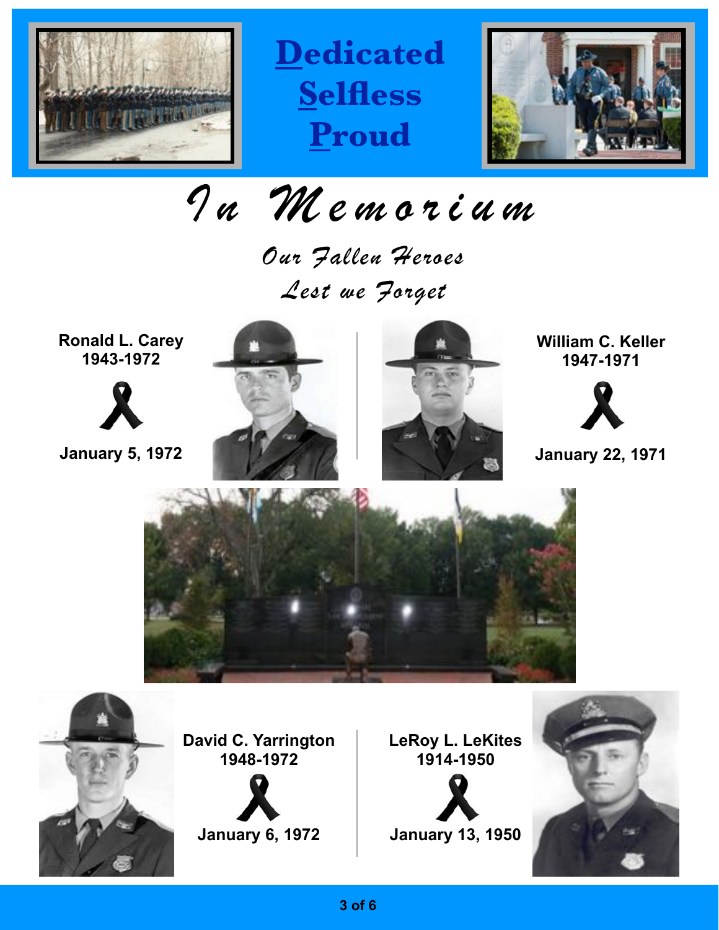

**Dedicated Selfless Proud**



In Memorium

Our Fallen Heroes Lest we Forget

**Ronald L. Carey 1943-1972**



**January 5, 1972**





**William C. Keller 1947-1971**



**January 22, 1971**





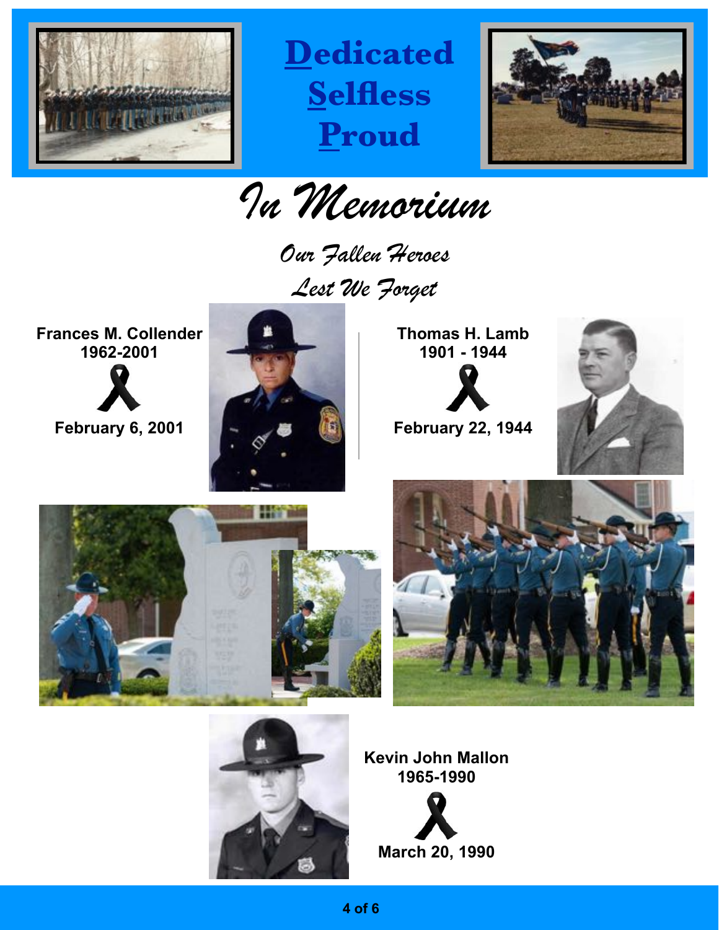

**Dedicated Selfless Proud**



In Memorium

Our Fallen Heroes Lest We Forget

**Frances M. Collender 1962-2001**

**February 6, 2001**



**Thomas H. Lamb 1901 - 1944**

**February 22, 1944**









**Kevin John Mallon 1965-1990**



**4 of 6**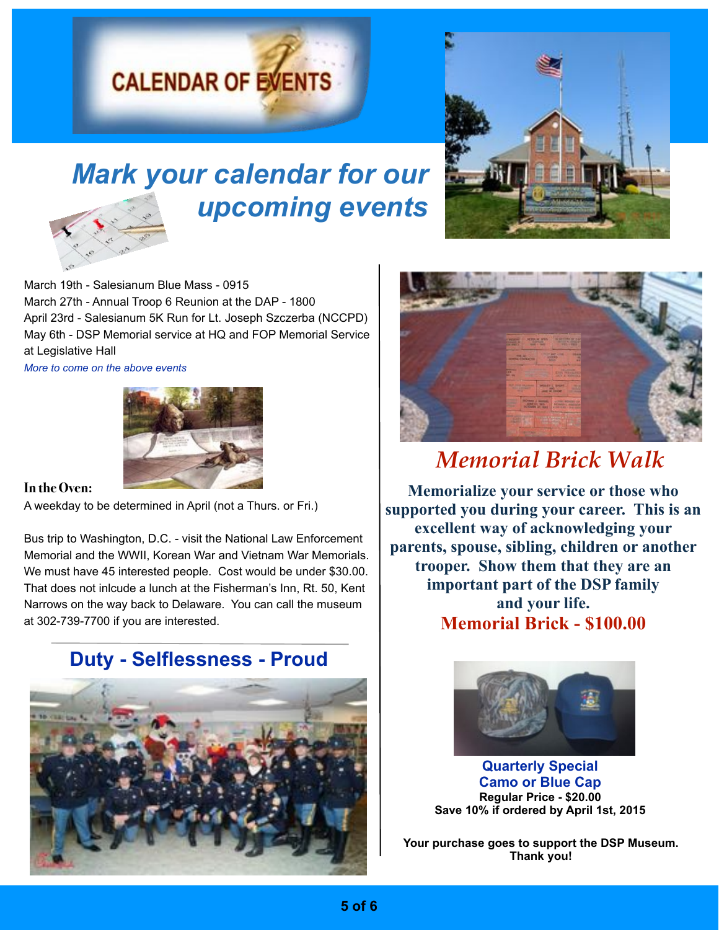# **CALENDAR OF EVENTS**

# *Mark your calendar for our upcoming events*

March 19th - Salesianum Blue Mass - 0915 March 27th - Annual Troop 6 Reunion at the DAP - 1800 April 23rd - Salesianum 5K Run for Lt. Joseph Szczerba (NCCPD) May 6th - DSP Memorial service at HQ and FOP Memorial Service at Legislative Hall

*More to come on the above events*



#### **In the Oven:**

A weekday to be determined in April (not a Thurs. or Fri.)

Bus trip to Washington, D.C. - visit the National Law Enforcement Memorial and the WWII, Korean War and Vietnam War Memorials. We must have 45 interested people. Cost would be under \$30.00. That does not inlcude a lunch at the Fisherman's Inn, Rt. 50, Kent Narrows on the way back to Delaware. You can call the museum at 302-739-7700 if you are interested.

## **Duty - Selflessness - Proud**







# *Memorial Brick Walk*

**Memorialize your service or those who supported you during your career. This is an excellent way of acknowledging your parents, spouse, sibling, children or another trooper. Show them that they are an important part of the DSP family and your life. Memorial Brick - \$100.00**



**Quarterly Special Camo or Blue Cap Regular Price - \$20.00 Save 10% if ordered by April 1st, 2015**

**Your purchase goes to support the DSP Museum. Thank you!**